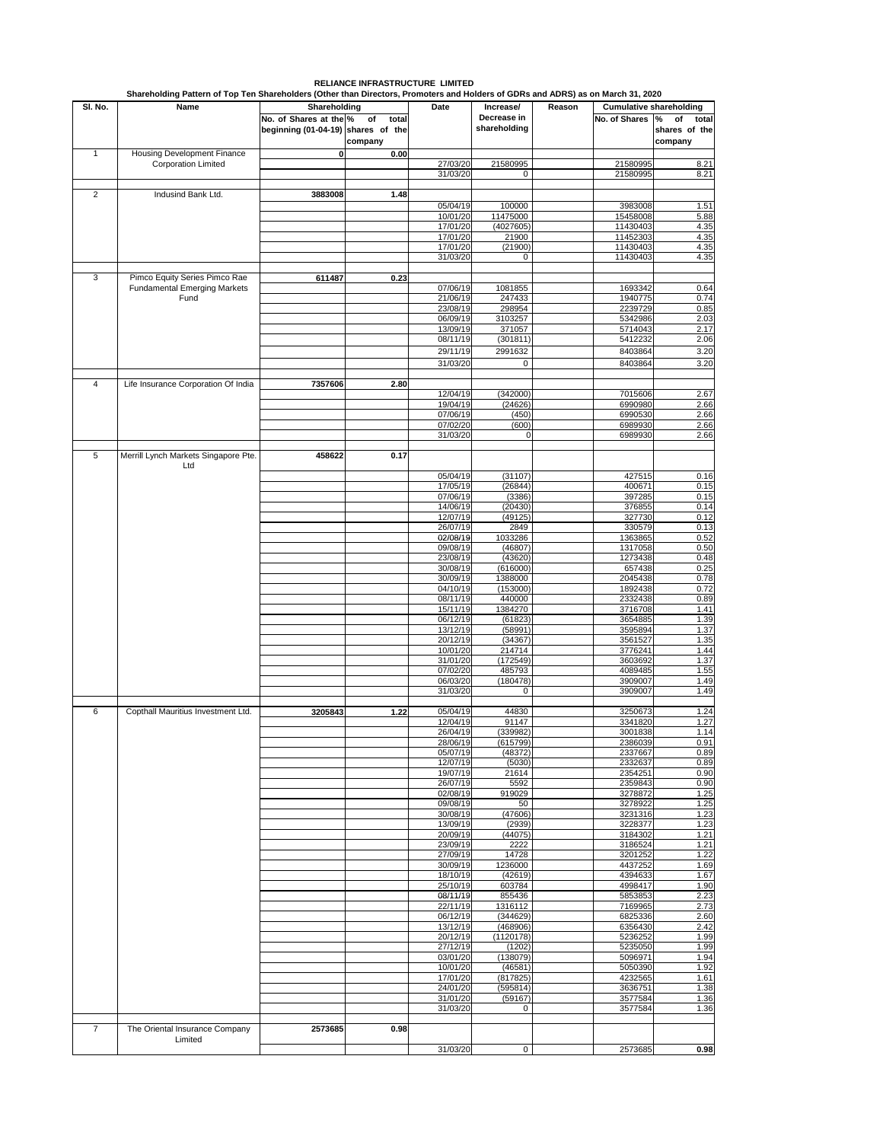|                | Shareholding Pattern of Top Ten Shareholders (Other than Directors, Promoters and Holders of GDRs and ADRS) as on March 31, 2020 |                                                              |                        |                      |                                          |        |                                |                                              |
|----------------|----------------------------------------------------------------------------------------------------------------------------------|--------------------------------------------------------------|------------------------|----------------------|------------------------------------------|--------|--------------------------------|----------------------------------------------|
| SI. No.        | Name                                                                                                                             | Shareholding                                                 |                        | Date                 | Increase/<br>Decrease in<br>shareholding | Reason | <b>Cumulative shareholding</b> |                                              |
|                |                                                                                                                                  | No. of Shares at the %<br>beginning (01-04-19) shares of the | of<br>total<br>company |                      |                                          |        | No. of Shares                  | %<br>of<br>total<br>shares of the<br>company |
| $\mathbf{1}$   | Housing Development Finance                                                                                                      | 0                                                            | 0.00                   |                      |                                          |        |                                |                                              |
|                | <b>Corporation Limited</b>                                                                                                       |                                                              |                        | 27/03/20<br>31/03/20 | 21580995<br>O                            |        | 21580995<br>21580995           | 8.21<br>8.21                                 |
|                |                                                                                                                                  |                                                              |                        |                      |                                          |        |                                |                                              |
| 2              | Indusind Bank Ltd.                                                                                                               | 3883008                                                      | 1.48                   |                      |                                          |        |                                |                                              |
|                |                                                                                                                                  |                                                              |                        | 05/04/19             | 100000                                   |        | 3983008                        | 1.51                                         |
|                |                                                                                                                                  |                                                              |                        | 10/01/20<br>17/01/20 | 11475000<br>(4027605)                    |        | 15458008<br>11430403           | 5.88<br>4.35                                 |
|                |                                                                                                                                  |                                                              |                        | 17/01/20             | 21900                                    |        | 11452303                       | 4.35                                         |
|                |                                                                                                                                  |                                                              |                        | 17/01/20             | (21900)                                  |        | 11430403                       | 4.35                                         |
|                |                                                                                                                                  |                                                              |                        | 31/03/20             | 0                                        |        | 11430403                       | 4.35                                         |
| 3              | Pimco Equity Series Pimco Rae                                                                                                    | 611487                                                       | 0.23                   |                      |                                          |        |                                |                                              |
|                | <b>Fundamental Emerging Markets</b><br>Fund                                                                                      |                                                              |                        | 07/06/19             | 1081855                                  |        | 1693342                        | 0.64                                         |
|                |                                                                                                                                  |                                                              |                        | 21/06/19<br>23/08/19 | 247433<br>298954                         |        | 1940775<br>2239729             | 0.74<br>0.85                                 |
|                |                                                                                                                                  |                                                              |                        | 06/09/19             | 3103257                                  |        | 5342986                        | 2.03                                         |
|                |                                                                                                                                  |                                                              |                        | 13/09/19             | 371057                                   |        | 5714043                        | 2.17                                         |
|                |                                                                                                                                  |                                                              |                        | 08/11/19             | (301811)                                 |        | 5412232                        | 2.06                                         |
|                |                                                                                                                                  |                                                              |                        | 29/11/19             | 2991632                                  |        | 8403864                        | 3.20                                         |
|                |                                                                                                                                  |                                                              |                        | 31/03/20             | 0                                        |        | 8403864                        | 3.20                                         |
| 4              | Life Insurance Corporation Of India                                                                                              | 7357606                                                      | 2.80                   |                      |                                          |        |                                |                                              |
|                |                                                                                                                                  |                                                              |                        | 12/04/19             | (342000)                                 |        | 7015606                        | 2.67                                         |
|                |                                                                                                                                  |                                                              |                        | 19/04/19<br>07/06/19 | (24626)<br>(450)                         |        | 6990980<br>6990530             | 2.66<br>2.66                                 |
|                |                                                                                                                                  |                                                              |                        | 07/02/20             | (600)                                    |        | 6989930                        | 2.66                                         |
|                |                                                                                                                                  |                                                              |                        | 31/03/20             | 0                                        |        | 6989930                        | 2.66                                         |
| 5              | Merrill Lynch Markets Singapore Pte.<br>Ltd                                                                                      | 458622                                                       | 0.17                   |                      |                                          |        |                                |                                              |
|                |                                                                                                                                  |                                                              |                        | 05/04/19             | (31107)                                  |        | 427515                         | 0.16                                         |
|                |                                                                                                                                  |                                                              |                        | 17/05/19             | (26844)                                  |        | 400671                         | 0.15                                         |
|                |                                                                                                                                  |                                                              |                        | 07/06/19             | (3386)                                   |        | 397285                         | 0.15                                         |
|                |                                                                                                                                  |                                                              |                        | 14/06/19<br>12/07/19 | (20430)<br>(49125)                       |        | 376855<br>327730               | 0.14<br>0.12                                 |
|                |                                                                                                                                  |                                                              |                        | 26/07/19             | 2849                                     |        | 330579                         | 0.13                                         |
|                |                                                                                                                                  |                                                              |                        | 02/08/19             | 1033286                                  |        | 1363865                        | 0.52                                         |
|                |                                                                                                                                  |                                                              |                        | 09/08/19<br>23/08/19 | (46807)<br>(43620)                       |        | 1317058<br>1273438             | 0.50<br>0.48                                 |
|                |                                                                                                                                  |                                                              |                        | 30/08/19             | (616000)                                 |        | 657438                         | 0.25                                         |
|                |                                                                                                                                  |                                                              |                        | 30/09/19             | 1388000                                  |        | 2045438                        | 0.78                                         |
|                |                                                                                                                                  |                                                              |                        | 04/10/19<br>08/11/19 | (153000)<br>440000                       |        | 1892438<br>2332438             | 0.72<br>0.89                                 |
|                |                                                                                                                                  |                                                              |                        | 15/11/19             | 1384270                                  |        | 3716708                        | 1.41                                         |
|                |                                                                                                                                  |                                                              |                        | 06/12/19             | (61823)                                  |        | 3654885                        | 1.39                                         |
|                |                                                                                                                                  |                                                              |                        | 13/12/19             | (58991)                                  |        | 3595894                        | 1.37                                         |
|                |                                                                                                                                  |                                                              |                        | 20/12/19<br>10/01/20 | (34367)<br>214714                        |        | 3561527<br>3776241             | 1.35<br>1.44                                 |
|                |                                                                                                                                  |                                                              |                        | 31/01/20             | (172549)                                 |        | 3603692                        | 1.37                                         |
|                |                                                                                                                                  |                                                              |                        | 07/02/20             | 485793                                   |        | 4089485                        | 1.55                                         |
|                |                                                                                                                                  |                                                              |                        | 06/03/20<br>31/03/20 | (180478)<br>0                            |        | 3909007<br>3909007             | 1.49<br>1.49                                 |
|                |                                                                                                                                  |                                                              |                        |                      |                                          |        |                                |                                              |
| 6              | Copthall Mauritius Investment Ltd.                                                                                               | 3205843                                                      | 1.22                   | 05/04/19             | 44830                                    |        | 3250673                        | 1.24                                         |
|                |                                                                                                                                  |                                                              |                        | 12/04/19<br>26/04/19 | 91147<br>3399821                         |        | 3341820<br>3001838             | 1.27<br>1.14                                 |
|                |                                                                                                                                  |                                                              |                        | 28/06/19             | (615799)                                 |        | 2386039                        | 0.91                                         |
|                |                                                                                                                                  |                                                              |                        | 05/07/19             | (48372)                                  |        | 2337667                        | 0.89                                         |
|                |                                                                                                                                  |                                                              |                        | 12/07/19<br>19/07/19 | (5030)<br>21614                          |        | 2332637<br>2354251             | 0.89<br>0.90                                 |
|                |                                                                                                                                  |                                                              |                        | 26/07/19             | 5592                                     |        | 2359843                        | 0.90                                         |
|                |                                                                                                                                  |                                                              |                        | 02/08/19             | 919029                                   |        | 3278872                        | 1.25                                         |
|                |                                                                                                                                  |                                                              |                        | 09/08/19             | 50<br>(47606)                            |        | 3278922                        | 1.25                                         |
|                |                                                                                                                                  |                                                              |                        | 30/08/19<br>13/09/19 | (2939)                                   |        | 3231316<br>3228377             | 1.23<br>1.23                                 |
|                |                                                                                                                                  |                                                              |                        | 20/09/19             | (44075)                                  |        | 3184302                        | 1.21                                         |
|                |                                                                                                                                  |                                                              |                        | 23/09/19             | 2222                                     |        | 3186524                        | 1.21                                         |
|                |                                                                                                                                  |                                                              |                        | 27/09/19<br>30/09/19 | 14728<br>1236000                         |        | 3201252<br>4437252             | 1.22<br>1.69                                 |
|                |                                                                                                                                  |                                                              |                        | 18/10/19             | (42619)                                  |        | 4394633                        | 1.67                                         |
|                |                                                                                                                                  |                                                              |                        | 25/10/19             | 603784                                   |        | 4998417                        | 1.90                                         |
|                |                                                                                                                                  |                                                              |                        | 08/11/19<br>22/11/19 | 855436<br>1316112                        |        | 5853853<br>7169965             | 2.23<br>2.73                                 |
|                |                                                                                                                                  |                                                              |                        | 06/12/19             | (344629)                                 |        | 6825336                        | 2.60                                         |
|                |                                                                                                                                  |                                                              |                        | 13/12/19             | (468906)                                 |        | 6356430                        | 2.42                                         |
|                |                                                                                                                                  |                                                              |                        | 20/12/19             | (1120178)                                |        | 5236252                        | 1.99                                         |
|                |                                                                                                                                  |                                                              |                        | 27/12/19<br>03/01/20 | (1202)<br>(138079)                       |        | 5235050<br>5096971             | 1.99<br>1.94                                 |
|                |                                                                                                                                  |                                                              |                        | 10/01/20             | (46581)                                  |        | 5050390                        | 1.92                                         |
|                |                                                                                                                                  |                                                              |                        | 17/01/20             | (817825)                                 |        | 4232565                        | 1.61                                         |
|                |                                                                                                                                  |                                                              |                        | 24/01/20<br>31/01/20 | (595814)<br>(59167)                      |        | 3636751<br>3577584             | 1.38<br>1.36                                 |
|                |                                                                                                                                  |                                                              |                        | 31/03/20             | 0                                        |        | 3577584                        | 1.36                                         |
|                |                                                                                                                                  |                                                              |                        |                      |                                          |        |                                |                                              |
| $\overline{7}$ | The Oriental Insurance Company<br>Limited                                                                                        | 2573685                                                      | 0.98                   | 31/03/20             | 0                                        |        | 2573685                        | 0.98                                         |
|                |                                                                                                                                  |                                                              |                        |                      |                                          |        |                                |                                              |

## **RELIANCE INFRASTRUCTURE LIMITED**